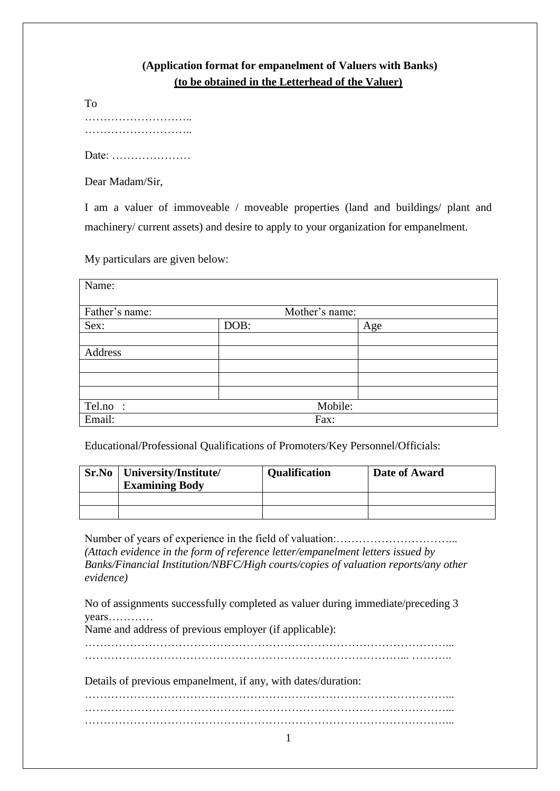# **(Application format for empanelment of Valuers with Banks) (to be obtained in the Letterhead of the Valuer)**

| To |  |  |
|----|--|--|
|    |  |  |
|    |  |  |

Date: …………………

Dear Madam/Sir,

I am a valuer of immoveable / moveable properties (land and buildings/ plant and machinery/ current assets) and desire to apply to your organization for empanelment.

My particulars are given below:

| Name:          |      |                |     |
|----------------|------|----------------|-----|
| Father's name: |      | Mother's name: |     |
| Sex:           | DOB: |                | Age |
|                |      |                |     |
| Address        |      |                |     |
|                |      |                |     |
|                |      |                |     |
|                |      |                |     |
| Tel.no :       |      | Mobile:        |     |
| Email:         |      | Fax:           |     |

Educational/Professional Qualifications of Promoters/Key Personnel/Officials:

| Sr.No | University/Institute/<br><b>Examining Body</b> | <b>Qualification</b> | Date of Award |
|-------|------------------------------------------------|----------------------|---------------|
|       |                                                |                      |               |
|       |                                                |                      |               |

Number of years of experience in the field of valuation:…………………………... *(Attach evidence in the form of reference letter/empanelment letters issued by Banks/Financial Institution/NBFC/High courts/copies of valuation reports/any other evidence)* 

No of assignments successfully completed as valuer during immediate/preceding 3 years…………

Name and address of previous employer (if applicable):

 $\mathcal{L}^{(n)}$ 

Details of previous empanelment, if any, with dates/duration:

……………………………………………………………………………………... ……………………………………………………………………………………...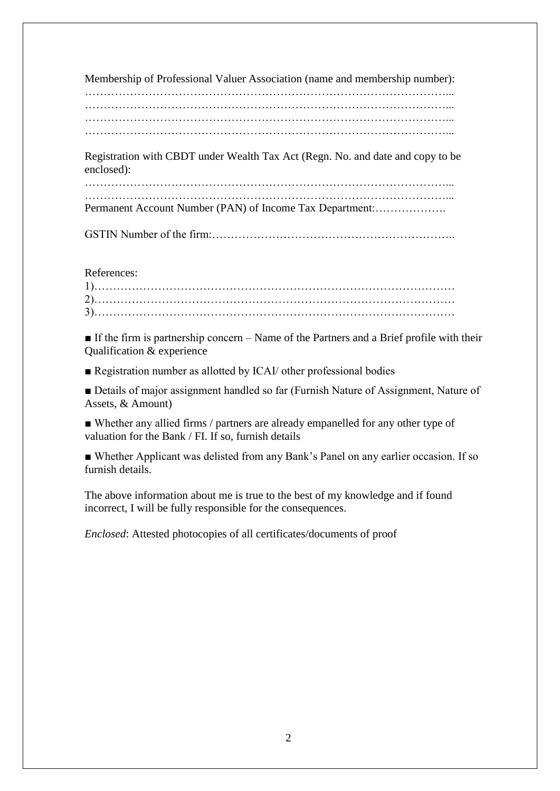Membership of Professional Valuer Association (name and membership number):

……………………………………………………………………………………... ……………………………………………………………………………………... ……………………………………………………………………………………...

Registration with CBDT under Wealth Tax Act (Regn. No. and date and copy to be enclosed):

……………………………………………………………………………………... Permanent Account Number (PAN) of Income Tax Department:……………….

GSTIN Number of the firm:………………………………………………………..

References:

■ If the firm is partnership concern – Name of the Partners and a Brief profile with their Qualification & experience

■ Registration number as allotted by ICAI/ other professional bodies

■ Details of major assignment handled so far (Furnish Nature of Assignment, Nature of Assets, & Amount)

■ Whether any allied firms / partners are already empanelled for any other type of valuation for the Bank / FI. If so, furnish details

■ Whether Applicant was delisted from any Bank's Panel on any earlier occasion. If so furnish details.

The above information about me is true to the best of my knowledge and if found incorrect, I will be fully responsible for the consequences.

*Enclosed*: Attested photocopies of all certificates/documents of proof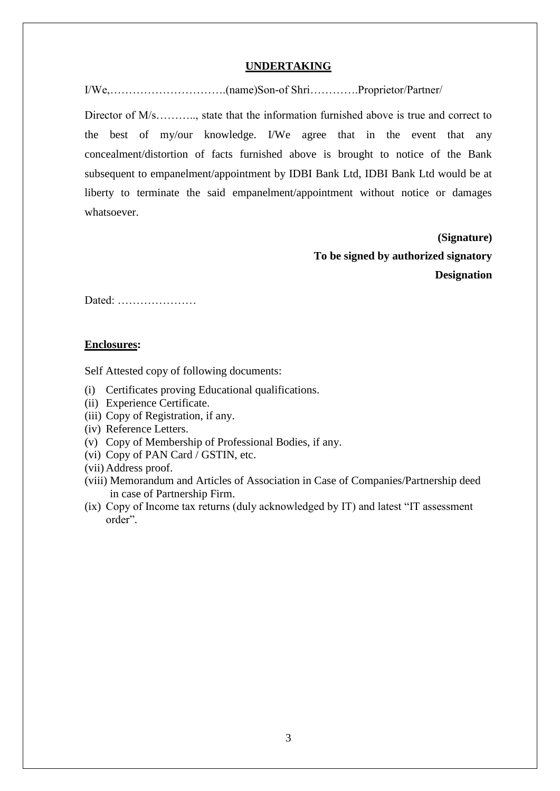### **UNDERTAKING**

I/We,………………………….(name)Son-of Shri………….Proprietor/Partner/

Director of M/s……….., state that the information furnished above is true and correct to the best of my/our knowledge. I/We agree that in the event that any concealment/distortion of facts furnished above is brought to notice of the Bank subsequent to empanelment/appointment by IDBI Bank Ltd, IDBI Bank Ltd would be at liberty to terminate the said empanelment/appointment without notice or damages whatsoever.

> **(Signature) To be signed by authorized signatory Designation**

Dated: …………………

#### **Enclosures:**

Self Attested copy of following documents:

- (i) Certificates proving Educational qualifications.
- (ii) Experience Certificate.
- (iii) Copy of Registration, if any.
- (iv) Reference Letters.
- (v) Copy of Membership of Professional Bodies, if any.
- (vi) Copy of PAN Card / GSTIN, etc.
- (vii) Address proof.
- (viii) Memorandum and Articles of Association in Case of Companies/Partnership deed in case of Partnership Firm.
- (ix) Copy of Income tax returns (duly acknowledged by IT) and latest "IT assessment order".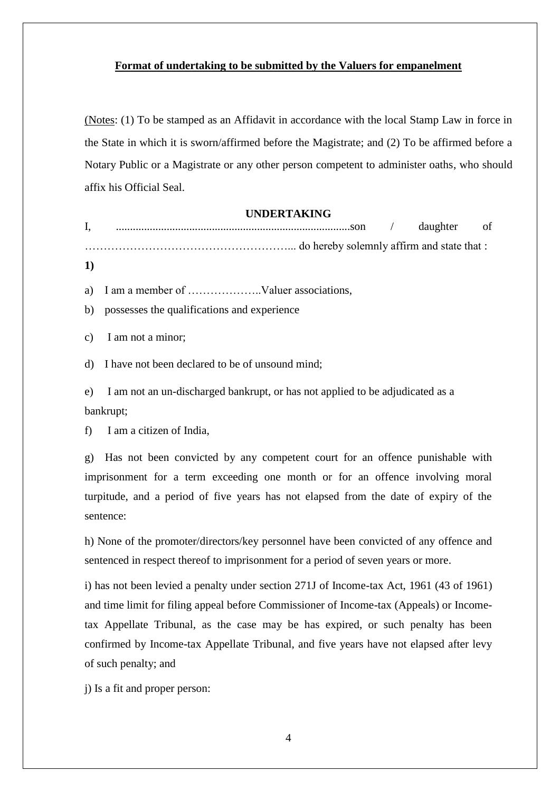## **Format of undertaking to be submitted by the Valuers for empanelment**

(Notes: (1) To be stamped as an Affidavit in accordance with the local Stamp Law in force in the State in which it is sworn/affirmed before the Magistrate; and (2) To be affirmed before a Notary Public or a Magistrate or any other person competent to administer oaths, who should affix his Official Seal.

#### **UNDERTAKING**

I, ...................................................................................son / daughter of ………………………………………………... do hereby solemnly affirm and state that :

**1)**

a) I am a member of ………………..Valuer associations,

b) possesses the qualifications and experience

c) I am not a minor;

d) I have not been declared to be of unsound mind;

e) I am not an un-discharged bankrupt, or has not applied to be adjudicated as a bankrupt;

f) I am a citizen of India,

g) Has not been convicted by any competent court for an offence punishable with imprisonment for a term exceeding one month or for an offence involving moral turpitude, and a period of five years has not elapsed from the date of expiry of the sentence:

h) None of the promoter/directors/key personnel have been convicted of any offence and sentenced in respect thereof to imprisonment for a period of seven years or more.

i) has not been levied a penalty under section 271J of Income-tax Act, 1961 (43 of 1961) and time limit for filing appeal before Commissioner of Income-tax (Appeals) or Incometax Appellate Tribunal, as the case may be has expired, or such penalty has been confirmed by Income-tax Appellate Tribunal, and five years have not elapsed after levy of such penalty; and

j) Is a fit and proper person: